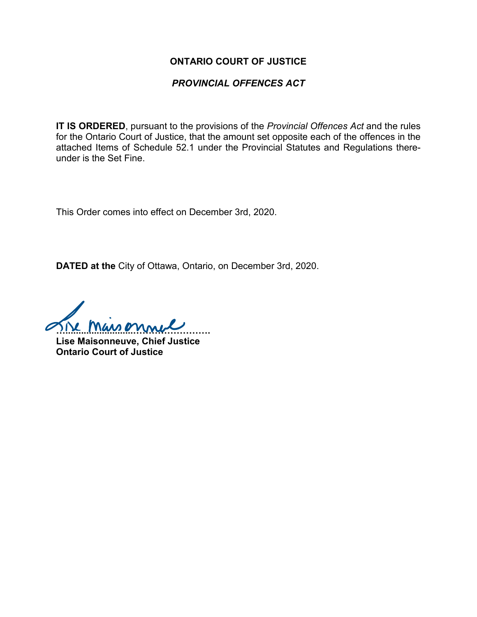#### **ONTARIO COURT OF JUSTICE**

## *PROVINCIAL OFFENCES ACT*

**IT IS ORDERED**, pursuant to the provisions of the *Provincial Offences Act* and the rules for the Ontario Court of Justice, that the amount set opposite each of the offences in the attached Items of Schedule 52.1 under the Provincial Statutes and Regulations thereunder is the Set Fine.

This Order comes into effect on December 3rd, 2020.

**DATED at the** City of Ottawa, Ontario, on December 3rd, 2020.

**…..........................…………………….**

**Lise Maisonneuve, Chief Justice Ontario Court of Justice**